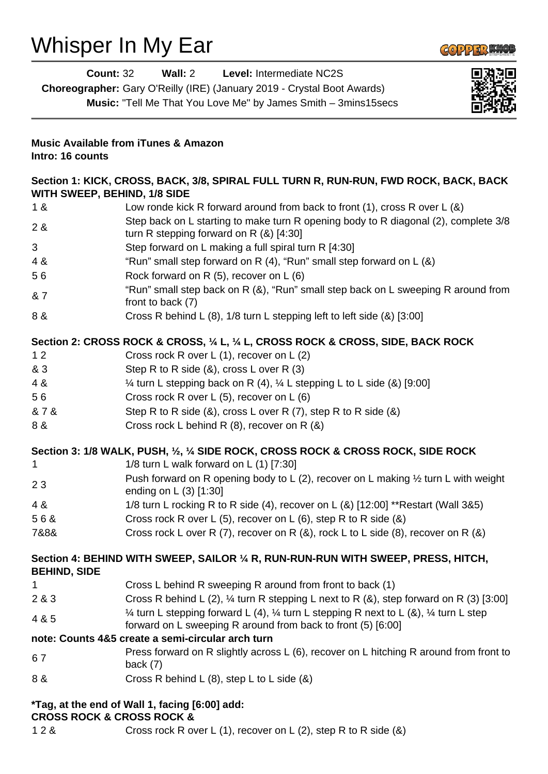## Whisper In My Ear



|                                                                                                                      | Level: Intermediate NC2S<br><b>Count: 32</b><br>Wall: $2$<br>Choreographer: Gary O'Reilly (IRE) (January 2019 - Crystal Boot Awards)<br>Music: "Tell Me That You Love Me" by James Smith - 3mins15secs                     |
|----------------------------------------------------------------------------------------------------------------------|----------------------------------------------------------------------------------------------------------------------------------------------------------------------------------------------------------------------------|
| Intro: 16 counts                                                                                                     | <b>Music Available from iTunes &amp; Amazon</b>                                                                                                                                                                            |
| Section 1: KICK, CROSS, BACK, 3/8, SPIRAL FULL TURN R, RUN-RUN, FWD ROCK, BACK, BACK<br>WITH SWEEP, BEHIND, 1/8 SIDE |                                                                                                                                                                                                                            |
| 1 &                                                                                                                  | Low ronde kick R forward around from back to front $(1)$ , cross R over L $(8)$                                                                                                                                            |
| 2 &                                                                                                                  | Step back on L starting to make turn R opening body to R diagonal (2), complete 3/8<br>turn R stepping forward on R $(8)$ [4:30]                                                                                           |
| 3                                                                                                                    | Step forward on L making a full spiral turn R [4:30]                                                                                                                                                                       |
| 4 &                                                                                                                  | "Run" small step forward on R (4), "Run" small step forward on L (&)                                                                                                                                                       |
| 56                                                                                                                   | Rock forward on R $(5)$ , recover on L $(6)$                                                                                                                                                                               |
| & 7                                                                                                                  | "Run" small step back on R (&), "Run" small step back on L sweeping R around from<br>front to back (7)                                                                                                                     |
| 8 &                                                                                                                  | Cross R behind L (8), 1/8 turn L stepping left to left side (&) [3:00]                                                                                                                                                     |
| 12                                                                                                                   | Section 2: CROSS ROCK & CROSS, 1/4 L, 1/4 L, CROSS ROCK & CROSS, SIDE, BACK ROCK<br>Cross rock R over L (1), recover on L (2)                                                                                              |
| & 3                                                                                                                  | Step R to R side $(8)$ , cross L over R $(3)$                                                                                                                                                                              |
| 4 &                                                                                                                  | $\frac{1}{4}$ turn L stepping back on R (4), $\frac{1}{4}$ L stepping L to L side (&) [9:00]                                                                                                                               |
| 56                                                                                                                   | Cross rock R over L (5), recover on L (6)                                                                                                                                                                                  |
| & 7 &                                                                                                                | Step R to R side (&), cross L over R (7), step R to R side (&)                                                                                                                                                             |
| 8 &                                                                                                                  | Cross rock L behind R (8), recover on R (&)                                                                                                                                                                                |
|                                                                                                                      | Section 3: 1/8 WALK, PUSH, 1/2, 1/4 SIDE ROCK, CROSS ROCK & CROSS ROCK, SIDE ROCK                                                                                                                                          |
| 1                                                                                                                    | 1/8 turn L walk forward on L $(1)$ [7:30]                                                                                                                                                                                  |
| 23                                                                                                                   | Push forward on R opening body to L (2), recover on L making $\frac{1}{2}$ turn L with weight<br>ending on L (3) [1:30]                                                                                                    |
| 4 &                                                                                                                  | 1/8 turn L rocking R to R side (4), recover on L (&) [12:00] **Restart (Wall 3&5)                                                                                                                                          |
| 56&                                                                                                                  | Cross rock R over L (5), recover on L (6), step R to R side (&)                                                                                                                                                            |
| 7&8&                                                                                                                 | Cross rock L over R (7), recover on R $(8)$ , rock L to L side $(8)$ , recover on R $(8)$                                                                                                                                  |
| <b>BEHIND, SIDE</b>                                                                                                  | Section 4: BEHIND WITH SWEEP, SAILOR 1/4 R, RUN-RUN-RUN WITH SWEEP, PRESS, HITCH,                                                                                                                                          |
| 1                                                                                                                    | Cross L behind R sweeping R around from front to back (1)                                                                                                                                                                  |
| 2 & 3                                                                                                                | Cross R behind L (2), $\frac{1}{4}$ turn R stepping L next to R (&), step forward on R (3) [3:00]<br>$\frac{1}{4}$ turn L stepping forward L (4), $\frac{1}{4}$ turn L stepping R next to L (&), $\frac{1}{4}$ turn L step |
| 4 & 5                                                                                                                | forward on L sweeping R around from back to front (5) [6:00]                                                                                                                                                               |
|                                                                                                                      | note: Counts 4&5 create a semi-circular arch turn                                                                                                                                                                          |
| 67                                                                                                                   | Press forward on R slightly across L (6), recover on L hitching R around from front to<br>back $(7)$                                                                                                                       |
| 8 &                                                                                                                  | Cross R behind L $(8)$ , step L to L side $(8)$                                                                                                                                                                            |
|                                                                                                                      | *Tag, at the end of Wall 1, facing [6:00] add:                                                                                                                                                                             |

## **CROSS ROCK & CROSS ROCK &**

1 2 & Cross rock R over L (1), recover on L (2), step R to R side (&)